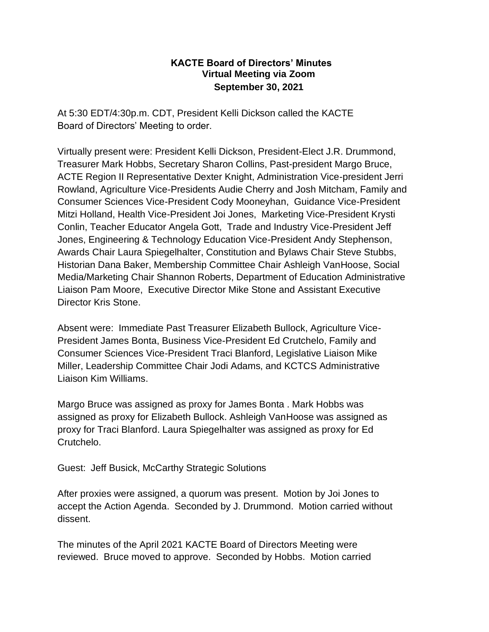## **KACTE Board of Directors' Minutes Virtual Meeting via Zoom September 30, 2021**

At 5:30 EDT/4:30p.m. CDT, President Kelli Dickson called the KACTE Board of Directors' Meeting to order.

Virtually present were: President Kelli Dickson, President-Elect J.R. Drummond, Treasurer Mark Hobbs, Secretary Sharon Collins, Past-president Margo Bruce, ACTE Region II Representative Dexter Knight, Administration Vice-president Jerri Rowland, Agriculture Vice-Presidents Audie Cherry and Josh Mitcham, Family and Consumer Sciences Vice-President Cody Mooneyhan, Guidance Vice-President Mitzi Holland, Health Vice-President Joi Jones, Marketing Vice-President Krysti Conlin, Teacher Educator Angela Gott, Trade and Industry Vice-President Jeff Jones, Engineering & Technology Education Vice-President Andy Stephenson, Awards Chair Laura Spiegelhalter, Constitution and Bylaws Chair Steve Stubbs, Historian Dana Baker, Membership Committee Chair Ashleigh VanHoose, Social Media/Marketing Chair Shannon Roberts, Department of Education Administrative Liaison Pam Moore, Executive Director Mike Stone and Assistant Executive Director Kris Stone.

Absent were: Immediate Past Treasurer Elizabeth Bullock, Agriculture Vice-President James Bonta, Business Vice-President Ed Crutchelo, Family and Consumer Sciences Vice-President Traci Blanford, Legislative Liaison Mike Miller, Leadership Committee Chair Jodi Adams, and KCTCS Administrative Liaison Kim Williams.

Margo Bruce was assigned as proxy for James Bonta . Mark Hobbs was assigned as proxy for Elizabeth Bullock. Ashleigh VanHoose was assigned as proxy for Traci Blanford. Laura Spiegelhalter was assigned as proxy for Ed Crutchelo.

Guest: Jeff Busick, McCarthy Strategic Solutions

After proxies were assigned, a quorum was present. Motion by Joi Jones to accept the Action Agenda. Seconded by J. Drummond. Motion carried without dissent.

The minutes of the April 2021 KACTE Board of Directors Meeting were reviewed. Bruce moved to approve. Seconded by Hobbs. Motion carried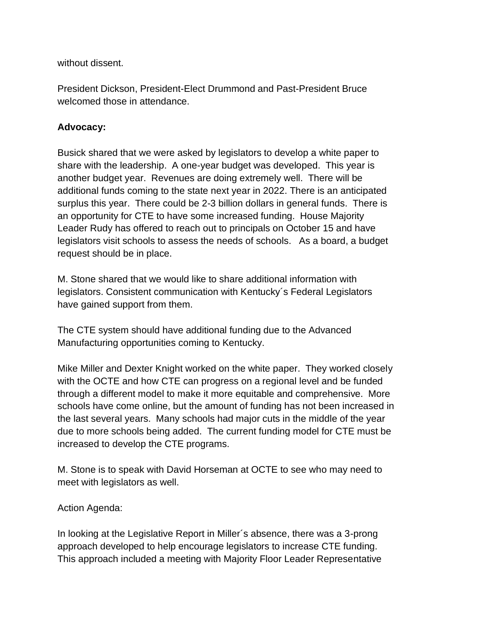without dissent.

President Dickson, President-Elect Drummond and Past-President Bruce welcomed those in attendance.

## **Advocacy:**

Busick shared that we were asked by legislators to develop a white paper to share with the leadership. A one-year budget was developed. This year is another budget year. Revenues are doing extremely well. There will be additional funds coming to the state next year in 2022. There is an anticipated surplus this year. There could be 2-3 billion dollars in general funds. There is an opportunity for CTE to have some increased funding. House Majority Leader Rudy has offered to reach out to principals on October 15 and have legislators visit schools to assess the needs of schools. As a board, a budget request should be in place.

M. Stone shared that we would like to share additional information with legislators. Consistent communication with Kentucky´s Federal Legislators have gained support from them.

The CTE system should have additional funding due to the Advanced Manufacturing opportunities coming to Kentucky.

Mike Miller and Dexter Knight worked on the white paper. They worked closely with the OCTE and how CTE can progress on a regional level and be funded through a different model to make it more equitable and comprehensive. More schools have come online, but the amount of funding has not been increased in the last several years. Many schools had major cuts in the middle of the year due to more schools being added. The current funding model for CTE must be increased to develop the CTE programs.

M. Stone is to speak with David Horseman at OCTE to see who may need to meet with legislators as well.

## Action Agenda:

In looking at the Legislative Report in Miller´s absence, there was a 3-prong approach developed to help encourage legislators to increase CTE funding. This approach included a meeting with Majority Floor Leader Representative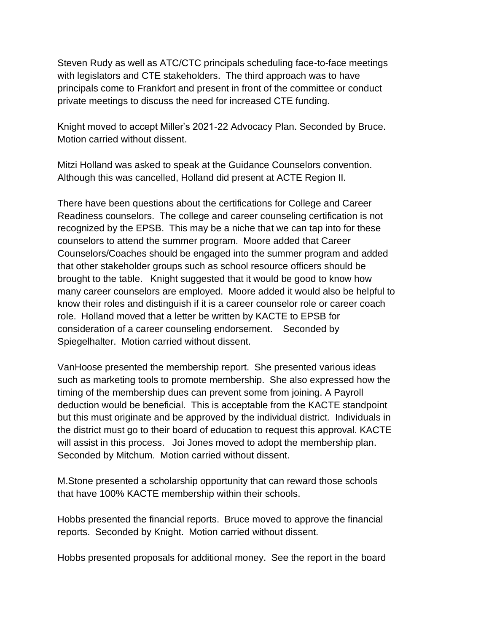Steven Rudy as well as ATC/CTC principals scheduling face-to-face meetings with legislators and CTE stakeholders. The third approach was to have principals come to Frankfort and present in front of the committee or conduct private meetings to discuss the need for increased CTE funding.

Knight moved to accept Miller's 2021-22 Advocacy Plan. Seconded by Bruce. Motion carried without dissent.

Mitzi Holland was asked to speak at the Guidance Counselors convention. Although this was cancelled, Holland did present at ACTE Region II.

There have been questions about the certifications for College and Career Readiness counselors. The college and career counseling certification is not recognized by the EPSB. This may be a niche that we can tap into for these counselors to attend the summer program. Moore added that Career Counselors/Coaches should be engaged into the summer program and added that other stakeholder groups such as school resource officers should be brought to the table. Knight suggested that it would be good to know how many career counselors are employed. Moore added it would also be helpful to know their roles and distinguish if it is a career counselor role or career coach role. Holland moved that a letter be written by KACTE to EPSB for consideration of a career counseling endorsement. Seconded by Spiegelhalter. Motion carried without dissent.

VanHoose presented the membership report. She presented various ideas such as marketing tools to promote membership. She also expressed how the timing of the membership dues can prevent some from joining. A Payroll deduction would be beneficial. This is acceptable from the KACTE standpoint but this must originate and be approved by the individual district. Individuals in the district must go to their board of education to request this approval. KACTE will assist in this process. Joi Jones moved to adopt the membership plan. Seconded by Mitchum. Motion carried without dissent.

M.Stone presented a scholarship opportunity that can reward those schools that have 100% KACTE membership within their schools.

Hobbs presented the financial reports. Bruce moved to approve the financial reports. Seconded by Knight. Motion carried without dissent.

Hobbs presented proposals for additional money. See the report in the board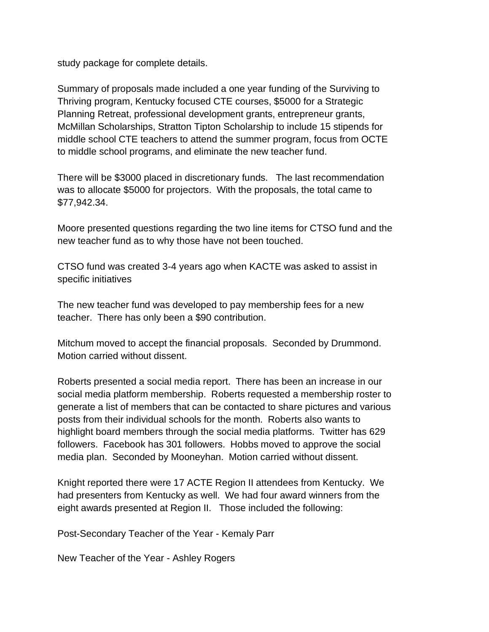study package for complete details.

Summary of proposals made included a one year funding of the Surviving to Thriving program, Kentucky focused CTE courses, \$5000 for a Strategic Planning Retreat, professional development grants, entrepreneur grants, McMillan Scholarships, Stratton Tipton Scholarship to include 15 stipends for middle school CTE teachers to attend the summer program, focus from OCTE to middle school programs, and eliminate the new teacher fund.

There will be \$3000 placed in discretionary funds. The last recommendation was to allocate \$5000 for projectors. With the proposals, the total came to \$77,942.34.

Moore presented questions regarding the two line items for CTSO fund and the new teacher fund as to why those have not been touched.

CTSO fund was created 3-4 years ago when KACTE was asked to assist in specific initiatives

The new teacher fund was developed to pay membership fees for a new teacher. There has only been a \$90 contribution.

Mitchum moved to accept the financial proposals. Seconded by Drummond. Motion carried without dissent.

Roberts presented a social media report. There has been an increase in our social media platform membership. Roberts requested a membership roster to generate a list of members that can be contacted to share pictures and various posts from their individual schools for the month. Roberts also wants to highlight board members through the social media platforms. Twitter has 629 followers. Facebook has 301 followers. Hobbs moved to approve the social media plan. Seconded by Mooneyhan. Motion carried without dissent.

Knight reported there were 17 ACTE Region II attendees from Kentucky. We had presenters from Kentucky as well. We had four award winners from the eight awards presented at Region II. Those included the following:

Post-Secondary Teacher of the Year - Kemaly Parr

New Teacher of the Year - Ashley Rogers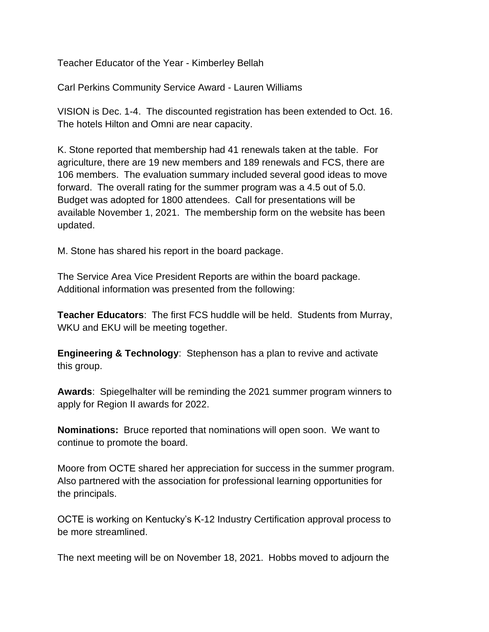Teacher Educator of the Year - Kimberley Bellah

Carl Perkins Community Service Award - Lauren Williams

VISION is Dec. 1-4. The discounted registration has been extended to Oct. 16. The hotels Hilton and Omni are near capacity.

K. Stone reported that membership had 41 renewals taken at the table. For agriculture, there are 19 new members and 189 renewals and FCS, there are 106 members. The evaluation summary included several good ideas to move forward. The overall rating for the summer program was a 4.5 out of 5.0. Budget was adopted for 1800 attendees. Call for presentations will be available November 1, 2021. The membership form on the website has been updated.

M. Stone has shared his report in the board package.

The Service Area Vice President Reports are within the board package. Additional information was presented from the following:

**Teacher Educators**: The first FCS huddle will be held. Students from Murray, WKU and EKU will be meeting together.

**Engineering & Technology**: Stephenson has a plan to revive and activate this group.

**Awards**: Spiegelhalter will be reminding the 2021 summer program winners to apply for Region II awards for 2022.

**Nominations:** Bruce reported that nominations will open soon. We want to continue to promote the board.

Moore from OCTE shared her appreciation for success in the summer program. Also partnered with the association for professional learning opportunities for the principals.

OCTE is working on Kentucky's K-12 Industry Certification approval process to be more streamlined.

The next meeting will be on November 18, 2021. Hobbs moved to adjourn the